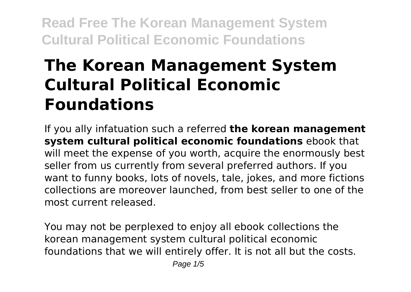# **The Korean Management System Cultural Political Economic Foundations**

If you ally infatuation such a referred **the korean management system cultural political economic foundations** ebook that will meet the expense of you worth, acquire the enormously best seller from us currently from several preferred authors. If you want to funny books, lots of novels, tale, jokes, and more fictions collections are moreover launched, from best seller to one of the most current released.

You may not be perplexed to enjoy all ebook collections the korean management system cultural political economic foundations that we will entirely offer. It is not all but the costs.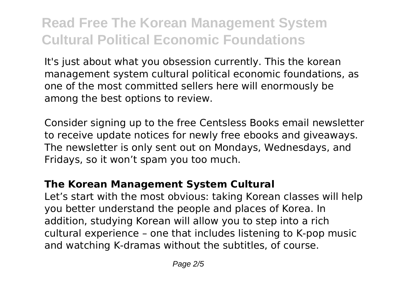It's just about what you obsession currently. This the korean management system cultural political economic foundations, as one of the most committed sellers here will enormously be among the best options to review.

Consider signing up to the free Centsless Books email newsletter to receive update notices for newly free ebooks and giveaways. The newsletter is only sent out on Mondays, Wednesdays, and Fridays, so it won't spam you too much.

#### **The Korean Management System Cultural**

Let's start with the most obvious: taking Korean classes will help you better understand the people and places of Korea. In addition, studying Korean will allow you to step into a rich cultural experience – one that includes listening to K-pop music and watching K-dramas without the subtitles, of course.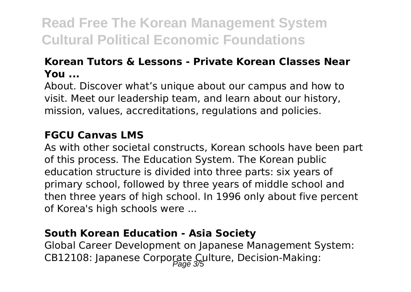#### **Korean Tutors & Lessons - Private Korean Classes Near You ...**

About. Discover what's unique about our campus and how to visit. Meet our leadership team, and learn about our history, mission, values, accreditations, regulations and policies.

#### **FGCU Canvas LMS**

As with other societal constructs, Korean schools have been part of this process. The Education System. The Korean public education structure is divided into three parts: six years of primary school, followed by three years of middle school and then three years of high school. In 1996 only about five percent of Korea's high schools were ...

#### **South Korean Education - Asia Society**

Global Career Development on Japanese Management System: CB12108: Japanese Corporate Culture, Decision-Making: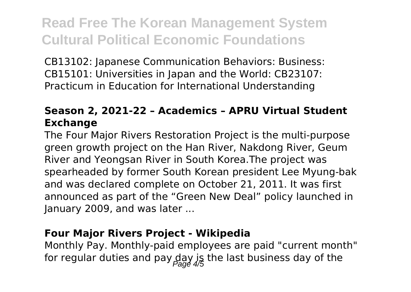CB13102: Japanese Communication Behaviors: Business: CB15101: Universities in Japan and the World: CB23107: Practicum in Education for International Understanding

### **Season 2, 2021-22 – Academics – APRU Virtual Student Exchange**

The Four Major Rivers Restoration Project is the multi-purpose green growth project on the Han River, Nakdong River, Geum River and Yeongsan River in South Korea.The project was spearheaded by former South Korean president Lee Myung-bak and was declared complete on October 21, 2011. It was first announced as part of the "Green New Deal" policy launched in January 2009, and was later ...

#### **Four Major Rivers Project - Wikipedia**

Monthly Pay. Monthly-paid employees are paid "current month" for regular duties and pay  $\frac{day}{2}$  is the last business day of the